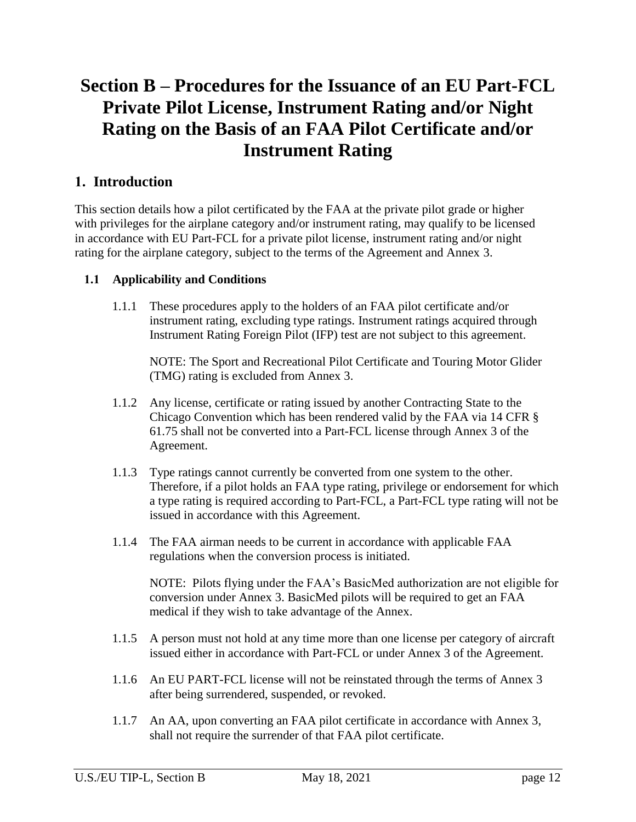# **Section B – Procedures for the Issuance of an EU Part-FCL Private Pilot License, Instrument Rating and/or Night Rating on the Basis of an FAA Pilot Certificate and/or Instrument Rating**

# **1. Introduction**

This section details how a pilot certificated by the FAA at the private pilot grade or higher with privileges for the airplane category and/or instrument rating, may qualify to be licensed in accordance with EU Part-FCL for a private pilot license, instrument rating and/or night rating for the airplane category, subject to the terms of the Agreement and Annex 3.

## **1.1 Applicability and Conditions**

1.1.1 These procedures apply to the holders of an FAA pilot certificate and/or instrument rating, excluding type ratings. Instrument ratings acquired through Instrument Rating Foreign Pilot (IFP) test are not subject to this agreement.

NOTE: The Sport and Recreational Pilot Certificate and Touring Motor Glider (TMG) rating is excluded from Annex 3.

- 1.1.2 Any license, certificate or rating issued by another Contracting State to the Chicago Convention which has been rendered valid by the FAA via 14 CFR § 61.75 shall not be converted into a Part-FCL license through Annex 3 of the Agreement.
- 1.1.3 Type ratings cannot currently be converted from one system to the other. Therefore, if a pilot holds an FAA type rating, privilege or endorsement for which a type rating is required according to Part-FCL, a Part-FCL type rating will not be issued in accordance with this Agreement.
- 1.1.4 The FAA airman needs to be current in accordance with applicable FAA regulations when the conversion process is initiated.

NOTE: Pilots flying under the FAA's BasicMed authorization are not eligible for conversion under Annex 3. BasicMed pilots will be required to get an FAA medical if they wish to take advantage of the Annex.

- 1.1.5 A person must not hold at any time more than one license per category of aircraft issued either in accordance with Part-FCL or under Annex 3 of the Agreement.
- 1.1.6 An EU PART-FCL license will not be reinstated through the terms of Annex 3 after being surrendered, suspended, or revoked.
- 1.1.7 An AA, upon converting an FAA pilot certificate in accordance with Annex 3, shall not require the surrender of that FAA pilot certificate.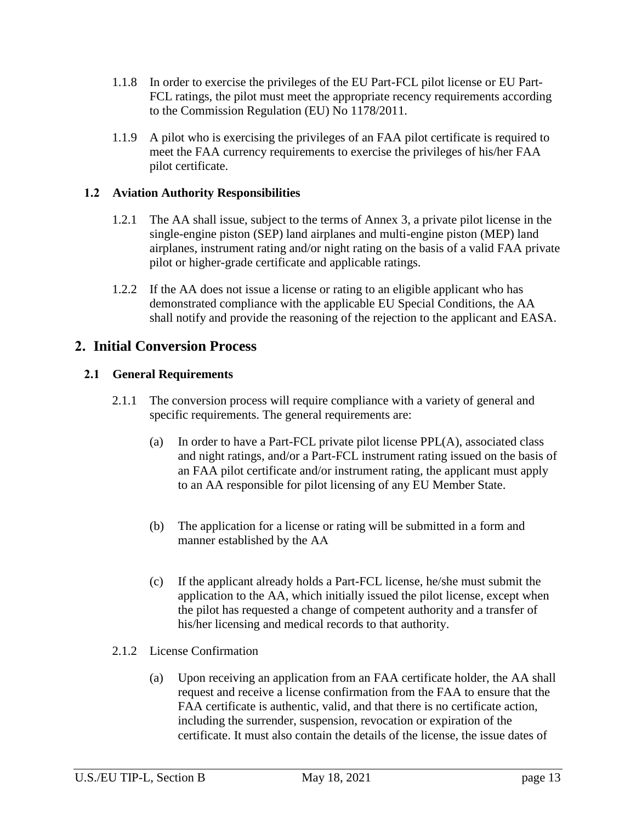- 1.1.8 In order to exercise the privileges of the EU Part-FCL pilot license or EU Part-FCL ratings, the pilot must meet the appropriate recency requirements according to the Commission Regulation (EU) No 1178/2011.
- 1.1.9 A pilot who is exercising the privileges of an FAA pilot certificate is required to meet the FAA currency requirements to exercise the privileges of his/her FAA pilot certificate.

### **1.2 Aviation Authority Responsibilities**

- 1.2.1 The AA shall issue, subject to the terms of Annex 3, a private pilot license in the single-engine piston (SEP) land airplanes and multi-engine piston (MEP) land airplanes, instrument rating and/or night rating on the basis of a valid FAA private pilot or higher-grade certificate and applicable ratings.
- 1.2.2 If the AA does not issue a license or rating to an eligible applicant who has demonstrated compliance with the applicable EU Special Conditions, the AA shall notify and provide the reasoning of the rejection to the applicant and EASA.

## **2. Initial Conversion Process**

#### **2.1 General Requirements**

- 2.1.1 The conversion process will require compliance with a variety of general and specific requirements. The general requirements are:
	- (a) In order to have a Part-FCL private pilot license PPL(A), associated class and night ratings, and/or a Part-FCL instrument rating issued on the basis of an FAA pilot certificate and/or instrument rating, the applicant must apply to an AA responsible for pilot licensing of any EU Member State.
	- (b) The application for a license or rating will be submitted in a form and manner established by the AA
	- (c) If the applicant already holds a Part-FCL license, he/she must submit the application to the AA, which initially issued the pilot license, except when the pilot has requested a change of competent authority and a transfer of his/her licensing and medical records to that authority.
- 2.1.2 License Confirmation
	- (a) Upon receiving an application from an FAA certificate holder, the AA shall request and receive a license confirmation from the FAA to ensure that the FAA certificate is authentic, valid, and that there is no certificate action, including the surrender, suspension, revocation or expiration of the certificate. It must also contain the details of the license, the issue dates of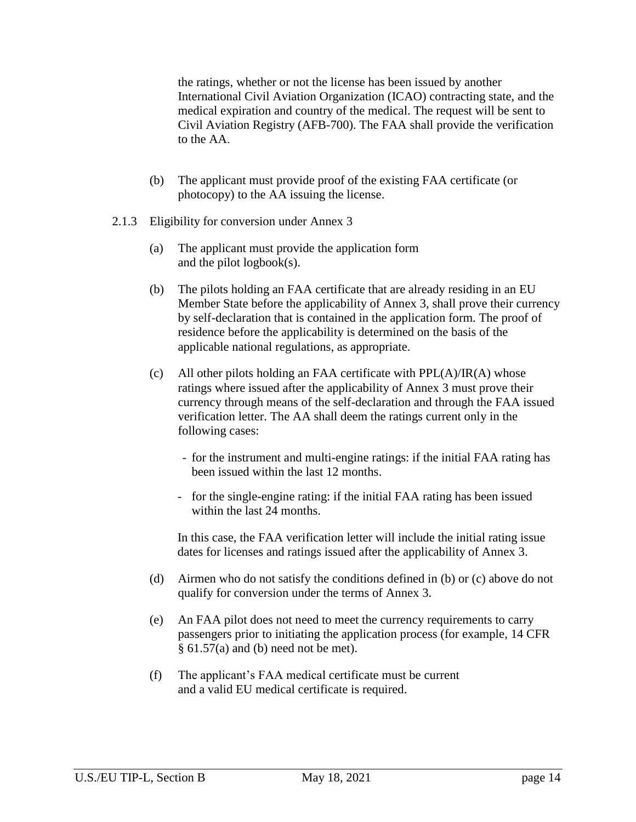the ratings, whether or not the license has been issued by another International Civil Aviation Organization (ICAO) contracting state, and the medical expiration and country of the medical. The request will be sent to Civil Aviation Registry (AFB-700). The FAA shall provide the verification to the AA.

- (b) The applicant must provide proof of the existing FAA certificate (or photocopy) to the AA issuing the license.
- 2.1.3 Eligibility for conversion under Annex 3
	- (a) The applicant must provide the application form and the pilot logbook(s).
	- (b) The pilots holding an FAA certificate that are already residing in an EU Member State before the applicability of Annex 3, shall prove their currency by self-declaration that is contained in the application form. The proof of residence before the applicability is determined on the basis of the applicable national regulations, as appropriate.
	- (c) All other pilots holding an FAA certificate with  $PPL(A)/IR(A)$  whose ratings where issued after the applicability of Annex 3 must prove their currency through means of the self-declaration and through the FAA issued verification letter. The AA shall deem the ratings current only in the following cases:
		- for the instrument and multi-engine ratings: if the initial FAA rating has been issued within the last 12 months.
		- for the single-engine rating: if the initial FAA rating has been issued within the last 24 months.

In this case, the FAA verification letter will include the initial rating issue dates for licenses and ratings issued after the applicability of Annex 3.

- (d) Airmen who do not satisfy the conditions defined in (b) or (c) above do not qualify for conversion under the terms of Annex 3.
- (e) An FAA pilot does not need to meet the currency requirements to carry passengers prior to initiating the application process (for example, 14 CFR  $§ 61.57(a)$  and (b) need not be met).
- (f) The applicant's FAA medical certificate must be current and a valid EU medical certificate is required.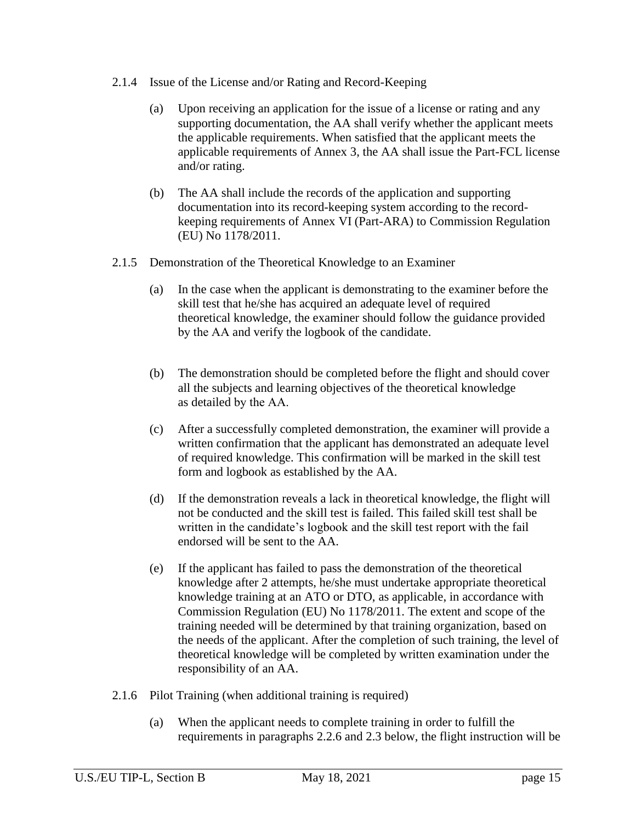- 2.1.4 Issue of the License and/or Rating and Record-Keeping
	- (a) Upon receiving an application for the issue of a license or rating and any supporting documentation, the AA shall verify whether the applicant meets the applicable requirements. When satisfied that the applicant meets the applicable requirements of Annex 3, the AA shall issue the Part-FCL license and/or rating.
	- (b) The AA shall include the records of the application and supporting documentation into its record-keeping system according to the recordkeeping requirements of Annex VI (Part-ARA) to Commission Regulation (EU) No 1178/2011.
- 2.1.5 Demonstration of the Theoretical Knowledge to an Examiner
	- (a) In the case when the applicant is demonstrating to the examiner before the skill test that he/she has acquired an adequate level of required theoretical knowledge, the examiner should follow the guidance provided by the AA and verify the logbook of the candidate.
	- (b) The demonstration should be completed before the flight and should cover all the subjects and learning objectives of the theoretical knowledge as detailed by the AA.
	- (c) After a successfully completed demonstration, the examiner will provide a written confirmation that the applicant has demonstrated an adequate level of required knowledge. This confirmation will be marked in the skill test form and logbook as established by the AA.
	- (d) If the demonstration reveals a lack in theoretical knowledge, the flight will not be conducted and the skill test is failed. This failed skill test shall be written in the candidate's logbook and the skill test report with the fail endorsed will be sent to the AA.
	- (e) If the applicant has failed to pass the demonstration of the theoretical knowledge after 2 attempts, he/she must undertake appropriate theoretical knowledge training at an ATO or DTO, as applicable, in accordance with Commission Regulation (EU) No 1178/2011. The extent and scope of the training needed will be determined by that training organization, based on the needs of the applicant. After the completion of such training, the level of theoretical knowledge will be completed by written examination under the responsibility of an AA.
- 2.1.6 Pilot Training (when additional training is required)
	- (a) When the applicant needs to complete training in order to fulfill the requirements in paragraphs [2.2.6](#page-6-0) and 2.3 below, the flight instruction will be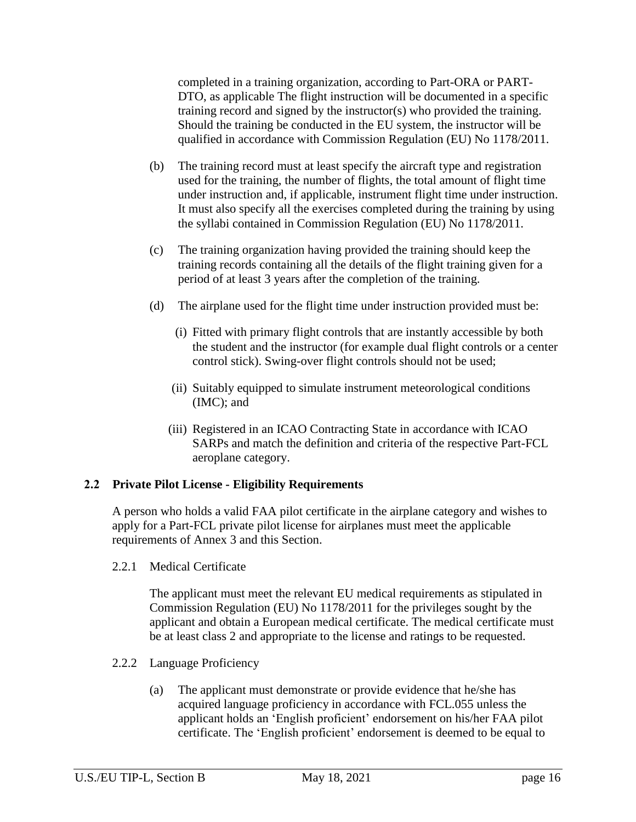completed in a training organization, according to Part-ORA or PART-DTO, as applicable The flight instruction will be documented in a specific training record and signed by the instructor(s) who provided the training. Should the training be conducted in the EU system, the instructor will be qualified in accordance with Commission Regulation (EU) No 1178/2011.

- (b) The training record must at least specify the aircraft type and registration used for the training, the number of flights, the total amount of flight time under instruction and, if applicable, instrument flight time under instruction. It must also specify all the exercises completed during the training by using the syllabi contained in Commission Regulation (EU) No 1178/2011.
- (c) The training organization having provided the training should keep the training records containing all the details of the flight training given for a period of at least 3 years after the completion of the training.
- (d) The airplane used for the flight time under instruction provided must be:
	- (i) Fitted with primary flight controls that are instantly accessible by both the student and the instructor (for example dual flight controls or a center control stick). Swing-over flight controls should not be used;
	- (ii) Suitably equipped to simulate instrument meteorological conditions (IMC); and
	- (iii) Registered in an ICAO Contracting State in accordance with ICAO SARPs and match the definition and criteria of the respective Part-FCL aeroplane category.

## **2.2 Private Pilot License - Eligibility Requirements**

A person who holds a valid FAA pilot certificate in the airplane category and wishes to apply for a Part-FCL private pilot license for airplanes must meet the applicable requirements of Annex 3 and this Section.

2.2.1 Medical Certificate

The applicant must meet the relevant EU medical requirements as stipulated in Commission Regulation (EU) No 1178/2011 for the privileges sought by the applicant and obtain a European medical certificate. The medical certificate must be at least class 2 and appropriate to the license and ratings to be requested.

- 2.2.2 Language Proficiency
	- (a) The applicant must demonstrate or provide evidence that he/she has acquired language proficiency in accordance with FCL.055 unless the applicant holds an 'English proficient' endorsement on his/her FAA pilot certificate. The 'English proficient' endorsement is deemed to be equal to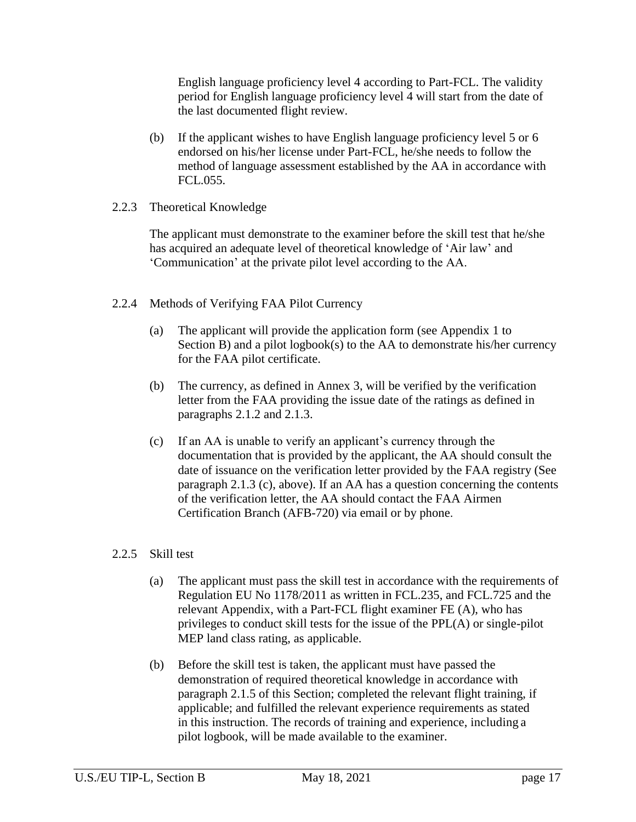English language proficiency level 4 according to Part-FCL. The validity period for English language proficiency level 4 will start from the date of the last documented flight review.

(b) If the applicant wishes to have English language proficiency level 5 or 6 endorsed on his/her license under Part-FCL, he/she needs to follow the method of language assessment established by the AA in accordance with FCL.055.

#### 2.2.3 Theoretical Knowledge

The applicant must demonstrate to the examiner before the skill test that he/she has acquired an adequate level of theoretical knowledge of 'Air law' and 'Communication' at the private pilot level according to the AA.

#### 2.2.4 Methods of Verifying FAA Pilot Currency

- (a) The applicant will provide the application form (see Appendix 1 to Section B) and a pilot logbook(s) to the AA to demonstrate his/her currency for the FAA pilot certificate.
- (b) The currency, as defined in Annex 3, will be verified by the verification letter from the FAA providing the issue date of the ratings as defined in paragraphs 2.1.2 and 2.1.3.
- (c) If an AA is unable to verify an applicant's currency through the documentation that is provided by the applicant, the AA should consult the date of issuance on the verification letter provided by the FAA registry (See paragraph 2.1.3 (c), above). If an AA has a question concerning the contents of the verification letter, the AA should contact the FAA Airmen Certification Branch (AFB-720) via email or by phone.

#### <span id="page-5-0"></span>2.2.5 Skill test

- (a) The applicant must pass the skill test in accordance with the requirements of Regulation EU No 1178/2011 as written in FCL.235, and FCL.725 and the relevant Appendix, with a Part-FCL flight examiner FE (A), who has privileges to conduct skill tests for the issue of the PPL(A) or single-pilot MEP land class rating, as applicable.
- (b) Before the skill test is taken, the applicant must have passed the demonstration of required theoretical knowledge in accordance with paragraph 2.1.5 of this Section; completed the relevant flight training, if applicable; and fulfilled the relevant experience requirements as stated in this instruction. The records of training and experience, including a pilot logbook, will be made available to the examiner.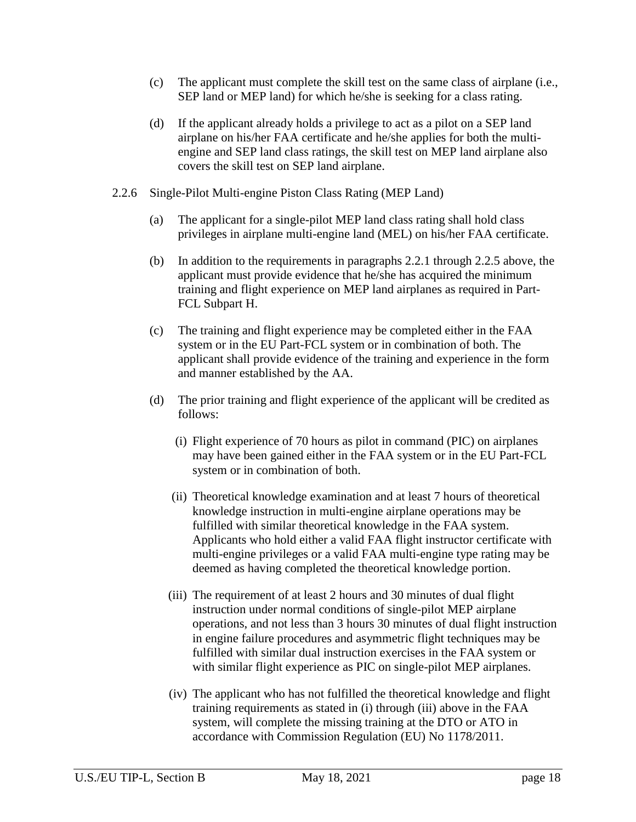- (c) The applicant must complete the skill test on the same class of airplane (i.e., SEP land or MEP land) for which he/she is seeking for a class rating.
- (d) If the applicant already holds a privilege to act as a pilot on a SEP land airplane on his/her FAA certificate and he/she applies for both the multiengine and SEP land class ratings, the skill test on MEP land airplane also covers the skill test on SEP land airplane.
- <span id="page-6-0"></span>2.2.6 Single-Pilot Multi-engine Piston Class Rating (MEP Land)
	- (a) The applicant for a single-pilot MEP land class rating shall hold class privileges in airplane multi-engine land (MEL) on his/her FAA certificate.
	- (b) In addition to the requirements in paragraphs 2.2.1 through 2.2.5 above, the applicant must provide evidence that he/she has acquired the minimum training and flight experience on MEP land airplanes as required in Part-FCL Subpart H.
	- (c) The training and flight experience may be completed either in the FAA system or in the EU Part-FCL system or in combination of both. The applicant shall provide evidence of the training and experience in the form and manner established by the AA.
	- (d) The prior training and flight experience of the applicant will be credited as follows:
		- (i) Flight experience of 70 hours as pilot in command (PIC) on airplanes may have been gained either in the FAA system or in the EU Part-FCL system or in combination of both.
		- (ii) Theoretical knowledge examination and at least 7 hours of theoretical knowledge instruction in multi-engine airplane operations may be fulfilled with similar theoretical knowledge in the FAA system. Applicants who hold either a valid FAA flight instructor certificate with multi-engine privileges or a valid FAA multi-engine type rating may be deemed as having completed the theoretical knowledge portion.
		- (iii) The requirement of at least 2 hours and 30 minutes of dual flight instruction under normal conditions of single-pilot MEP airplane operations, and not less than 3 hours 30 minutes of dual flight instruction in engine failure procedures and asymmetric flight techniques may be fulfilled with similar dual instruction exercises in the FAA system or with similar flight experience as PIC on single-pilot MEP airplanes.
		- (iv) The applicant who has not fulfilled the theoretical knowledge and flight training requirements as stated in (i) through (iii) above in the FAA system, will complete the missing training at the DTO or ATO in accordance with Commission Regulation (EU) No 1178/2011.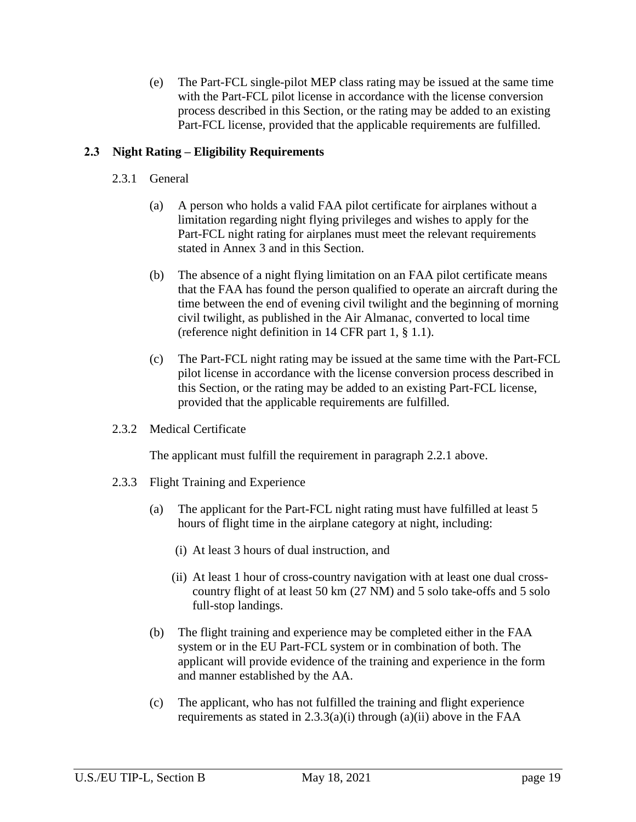(e) The Part-FCL single-pilot MEP class rating may be issued at the same time with the Part-FCL pilot license in accordance with the license conversion process described in this Section, or the rating may be added to an existing Part-FCL license, provided that the applicable requirements are fulfilled.

#### **2.3 Night Rating – Eligibility Requirements**

- 2.3.1 General
	- (a) A person who holds a valid FAA pilot certificate for airplanes without a limitation regarding night flying privileges and wishes to apply for the Part-FCL night rating for airplanes must meet the relevant requirements stated in Annex 3 and in this Section.
	- (b) The absence of a night flying limitation on an FAA pilot certificate means that the FAA has found the person qualified to operate an aircraft during the time between the end of evening civil twilight and the beginning of morning civil twilight, as published in the Air Almanac, converted to local time (reference night definition in 14 CFR part 1, § 1.1).
	- (c) The Part-FCL night rating may be issued at the same time with the Part-FCL pilot license in accordance with the license conversion process described in this Section, or the rating may be added to an existing Part-FCL license, provided that the applicable requirements are fulfilled.
- 2.3.2 Medical Certificate

The applicant must fulfill the requirement in paragraph 2.2.1 above.

- 2.3.3 Flight Training and Experience
	- (a) The applicant for the Part-FCL night rating must have fulfilled at least 5 hours of flight time in the airplane category at night, including:
		- (i) At least 3 hours of dual instruction, and
		- (ii) At least 1 hour of cross-country navigation with at least one dual crosscountry flight of at least 50 km (27 NM) and 5 solo take-offs and 5 solo full-stop landings.
	- (b) The flight training and experience may be completed either in the FAA system or in the EU Part-FCL system or in combination of both. The applicant will provide evidence of the training and experience in the form and manner established by the AA.
	- (c) The applicant, who has not fulfilled the training and flight experience requirements as stated in  $2.3.3(a)(i)$  through  $(a)(ii)$  above in the FAA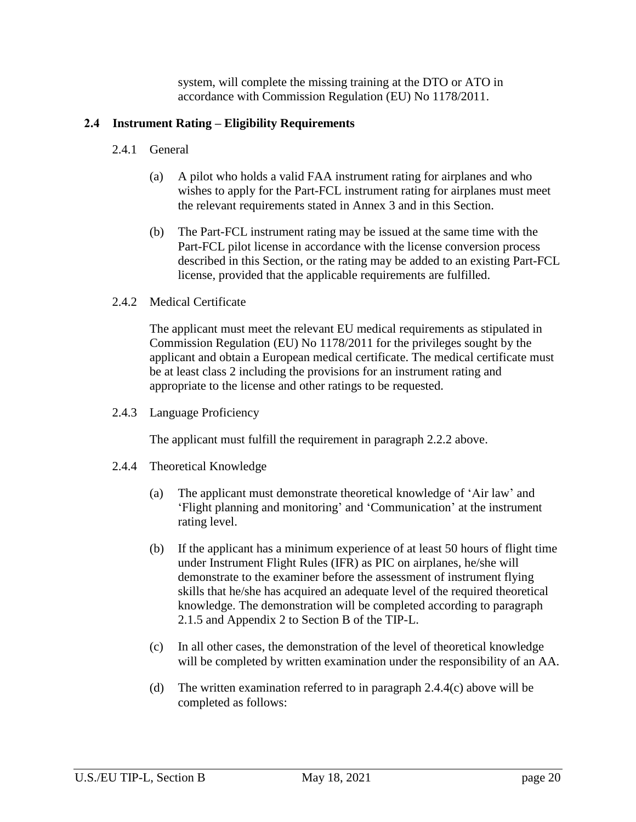system, will complete the missing training at the DTO or ATO in accordance with Commission Regulation (EU) No 1178/2011.

#### **2.4 Instrument Rating – Eligibility Requirements**

- 2.4.1 General
	- (a) A pilot who holds a valid FAA instrument rating for airplanes and who wishes to apply for the Part-FCL instrument rating for airplanes must meet the relevant requirements stated in Annex 3 and in this Section.
	- (b) The Part-FCL instrument rating may be issued at the same time with the Part-FCL pilot license in accordance with the license conversion process described in this Section, or the rating may be added to an existing Part-FCL license, provided that the applicable requirements are fulfilled.
- 2.4.2 Medical Certificate

The applicant must meet the relevant EU medical requirements as stipulated in Commission Regulation (EU) No 1178/2011 for the privileges sought by the applicant and obtain a European medical certificate. The medical certificate must be at least class 2 including the provisions for an instrument rating and appropriate to the license and other ratings to be requested.

2.4.3 Language Proficiency

The applicant must fulfill the requirement in paragraph 2.2.2 above.

- <span id="page-8-0"></span>2.4.4 Theoretical Knowledge
	- (a) The applicant must demonstrate theoretical knowledge of 'Air law' and 'Flight planning and monitoring' and 'Communication' at the instrument rating level.
	- (b) If the applicant has a minimum experience of at least 50 hours of flight time under Instrument Flight Rules (IFR) as PIC on airplanes, he/she will demonstrate to the examiner before the assessment of instrument flying skills that he/she has acquired an adequate level of the required theoretical knowledge. The demonstration will be completed according to paragraph 2.1.5 and Appendix 2 to Section B of the TIP-L.
	- (c) In all other cases, the demonstration of the level of theoretical knowledge will be completed by written examination under the responsibility of an AA.
	- (d) The written examination referred to in paragraph 2.4.4(c) above will be completed as follows: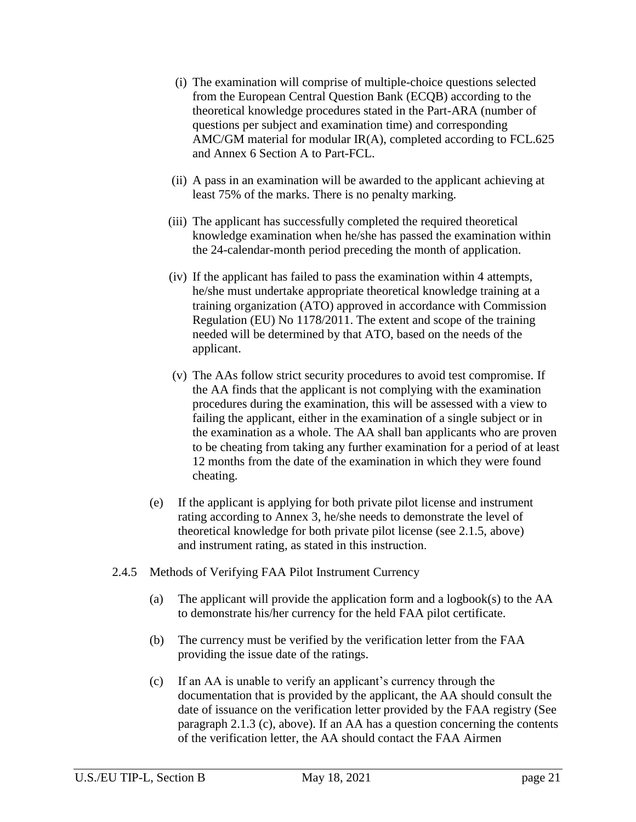- (i) The examination will comprise of multiple-choice questions selected from the European Central Question Bank (ECQB) according to the theoretical knowledge procedures stated in the Part-ARA (number of questions per subject and examination time) and corresponding AMC/GM material for modular IR(A), completed according to FCL.625 and Annex 6 Section A to Part-FCL.
- (ii) A pass in an examination will be awarded to the applicant achieving at least 75% of the marks. There is no penalty marking.
- (iii) The applicant has successfully completed the required theoretical knowledge examination when he/she has passed the examination within the 24-calendar-month period preceding the month of application.
- (iv) If the applicant has failed to pass the examination within 4 attempts, he/she must undertake appropriate theoretical knowledge training at a training organization (ATO) approved in accordance with Commission Regulation (EU) No 1178/2011. The extent and scope of the training needed will be determined by that ATO, based on the needs of the applicant.
- (v) The AAs follow strict security procedures to avoid test compromise. If the AA finds that the applicant is not complying with the examination procedures during the examination, this will be assessed with a view to failing the applicant, either in the examination of a single subject or in the examination as a whole. The AA shall ban applicants who are proven to be cheating from taking any further examination for a period of at least 12 months from the date of the examination in which they were found cheating.
- (e) If the applicant is applying for both private pilot license and instrument rating according to Annex 3, he/she needs to demonstrate the level of theoretical knowledge for both private pilot license (see 2.1.5, above) and instrument rating, as stated in this instruction.
- 2.4.5 Methods of Verifying FAA Pilot Instrument Currency
	- (a) The applicant will provide the application form and a logbook(s) to the AA to demonstrate his/her currency for the held FAA pilot certificate.
	- (b) The currency must be verified by the verification letter from the FAA providing the issue date of the ratings.
	- (c) If an AA is unable to verify an applicant's currency through the documentation that is provided by the applicant, the AA should consult the date of issuance on the verification letter provided by the FAA registry (See paragraph 2.1.3 (c), above). If an AA has a question concerning the contents of the verification letter, the AA should contact the FAA Airmen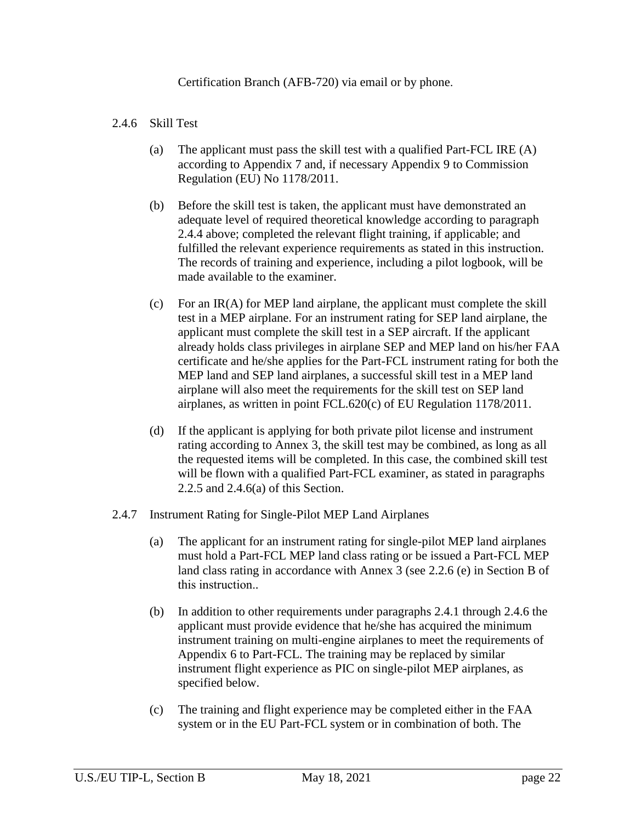Certification Branch (AFB-720) via email or by phone.

#### 2.4.6 Skill Test

- (a) The applicant must pass the skill test with a qualified Part-FCL IRE (A) according to Appendix 7 and, if necessary Appendix 9 to Commission Regulation (EU) No 1178/2011.
- (b) Before the skill test is taken, the applicant must have demonstrated an adequate level of required theoretical knowledge according to paragraph 2.4[.4](#page-8-0) above; completed the relevant flight training, if applicable; and fulfilled the relevant experience requirements as stated in this instruction. The records of training and experience, including a pilot logbook, will be made available to the examiner.
- (c) For an IR(A) for MEP land airplane, the applicant must complete the skill test in a MEP airplane. For an instrument rating for SEP land airplane, the applicant must complete the skill test in a SEP aircraft. If the applicant already holds class privileges in airplane SEP and MEP land on his/her FAA certificate and he/she applies for the Part-FCL instrument rating for both the MEP land and SEP land airplanes, a successful skill test in a MEP land airplane will also meet the requirements for the skill test on SEP land airplanes, as written in point FCL.620(c) of EU Regulation 1178/2011.
- (d) If the applicant is applying for both private pilot license and instrument rating according to Annex 3, the skill test may be combined, as long as all the requested items will be completed. In this case, the combined skill test will be flown with a qualified Part-FCL examiner, as stated in paragraphs [2.2.5](#page-5-0) and 2.4.6(a) of this Section.
- 2.4.7 Instrument Rating for Single-Pilot MEP Land Airplanes
	- (a) The applicant for an instrument rating for single-pilot MEP land airplanes must hold a Part-FCL MEP land class rating or be issued a Part-FCL MEP land class rating in accordance with Annex 3 (see 2.2.6 (e) in Section B of this instruction..
	- (b) In addition to other requirements under paragraphs 2.4.1 through 2.4.6 the applicant must provide evidence that he/she has acquired the minimum instrument training on multi-engine airplanes to meet the requirements of Appendix 6 to Part-FCL. The training may be replaced by similar instrument flight experience as PIC on single-pilot MEP airplanes, as specified below.
	- (c) The training and flight experience may be completed either in the FAA system or in the EU Part-FCL system or in combination of both. The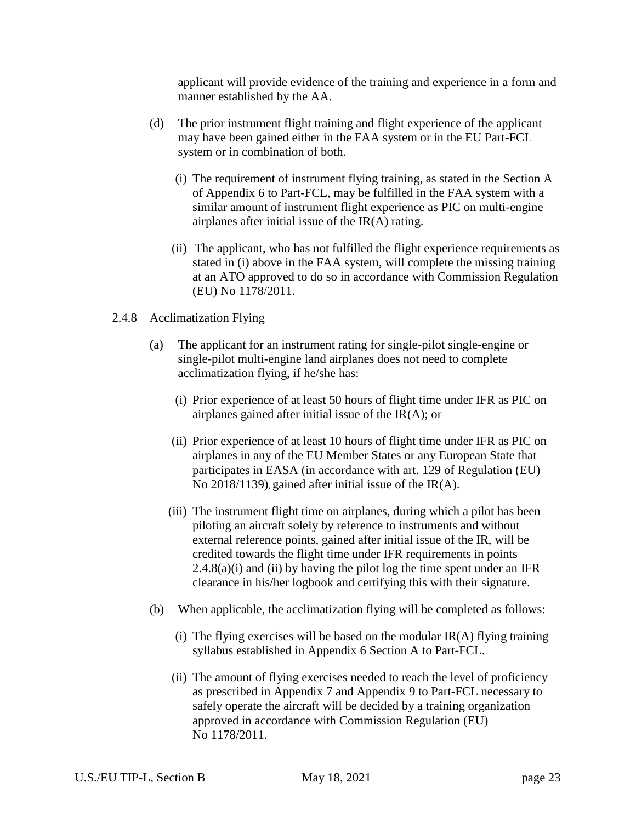applicant will provide evidence of the training and experience in a form and manner established by the AA.

- (d) The prior instrument flight training and flight experience of the applicant may have been gained either in the FAA system or in the EU Part-FCL system or in combination of both.
	- (i) The requirement of instrument flying training, as stated in the Section A of Appendix 6 to Part-FCL, may be fulfilled in the FAA system with a similar amount of instrument flight experience as PIC on multi-engine airplanes after initial issue of the IR(A) rating.
	- (ii) The applicant, who has not fulfilled the flight experience requirements as stated in (i) above in the FAA system, will complete the missing training at an ATO approved to do so in accordance with Commission Regulation (EU) No 1178/2011.

#### 2.4.8 Acclimatization Flying

- (a) The applicant for an instrument rating for single-pilot single-engine or single-pilot multi-engine land airplanes does not need to complete acclimatization flying, if he/she has:
	- (i) Prior experience of at least 50 hours of flight time under IFR as PIC on airplanes gained after initial issue of the  $IR(A)$ ; or
	- (ii) Prior experience of at least 10 hours of flight time under IFR as PIC on airplanes in any of the EU Member States or any European State that participates in EASA (in accordance with art. 129 of Regulation (EU) No 2018/1139), gained after initial issue of the IR(A).
	- (iii) The instrument flight time on airplanes, during which a pilot has been piloting an aircraft solely by reference to instruments and without external reference points, gained after initial issue of the IR, will be credited towards the flight time under IFR requirements in points  $2.4.8(a)(i)$  and (ii) by having the pilot log the time spent under an IFR clearance in his/her logbook and certifying this with their signature.
- (b) When applicable, the acclimatization flying will be completed as follows:
	- (i) The flying exercises will be based on the modular  $IR(A)$  flying training syllabus established in Appendix 6 Section A to Part-FCL.
	- (ii) The amount of flying exercises needed to reach the level of proficiency as prescribed in Appendix 7 and Appendix 9 to Part-FCL necessary to safely operate the aircraft will be decided by a training organization approved in accordance with Commission Regulation (EU) No 1178/2011.